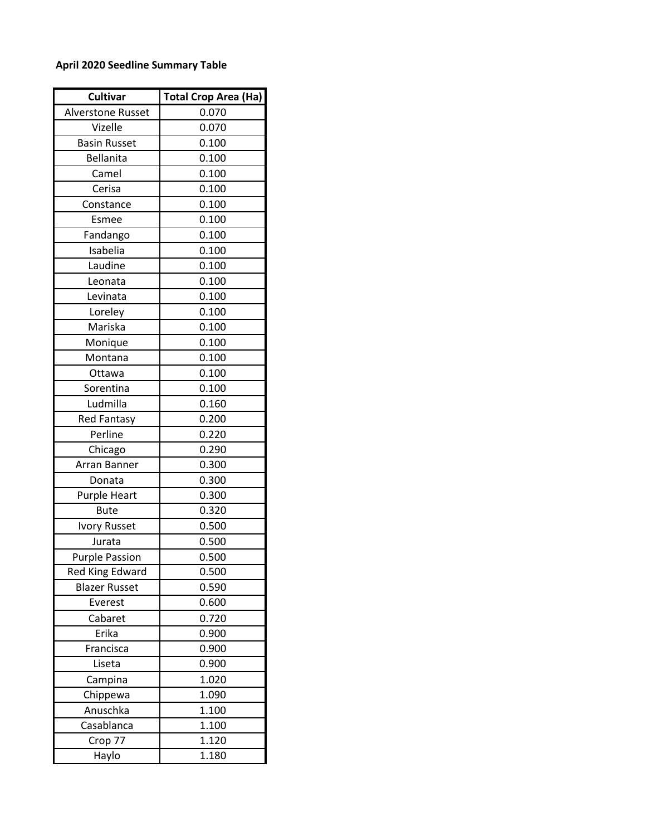## **April 2020 Seedline Summary Table**

| Cultivar               | <b>Total Crop Area (Ha)</b> |
|------------------------|-----------------------------|
| Alverstone Russet      | 0.070                       |
| Vizelle                | 0.070                       |
| <b>Basin Russet</b>    | 0.100                       |
| Bellanita              | 0.100                       |
| Camel                  | 0.100                       |
| Cerisa                 | 0.100                       |
| Constance              | 0.100                       |
| Esmee                  | 0.100                       |
| Fandango               | 0.100                       |
| Isabelia               | 0.100                       |
| Laudine                | 0.100                       |
| Leonata                | 0.100                       |
| Levinata               | 0.100                       |
| Loreley                | 0.100                       |
| Mariska                | 0.100                       |
| Monique                | 0.100                       |
| Montana                | 0.100                       |
| Ottawa                 | 0.100                       |
| Sorentina              | 0.100                       |
| Ludmilla               | 0.160                       |
| <b>Red Fantasy</b>     | 0.200                       |
| Perline                | 0.220                       |
| Chicago                | 0.290                       |
| Arran Banner           | 0.300                       |
| Donata                 | 0.300                       |
| <b>Purple Heart</b>    | 0.300                       |
| <b>Bute</b>            | 0.320                       |
| <b>Ivory Russet</b>    | 0.500                       |
| Jurata                 | 0.500                       |
| <b>Purple Passion</b>  | 0.500                       |
| <b>Red King Edward</b> | 0.500                       |
| <b>Blazer Russet</b>   | 0.590                       |
| Everest                | 0.600                       |
| Cabaret                | 0.720                       |
| Erika                  | 0.900                       |
| Francisca              | 0.900                       |
| Liseta                 | 0.900                       |
| Campina                | 1.020                       |
| Chippewa               | 1.090                       |
| Anuschka               | 1.100                       |
| Casablanca             | 1.100                       |
| Crop 77                | 1.120                       |
| Haylo                  | 1.180                       |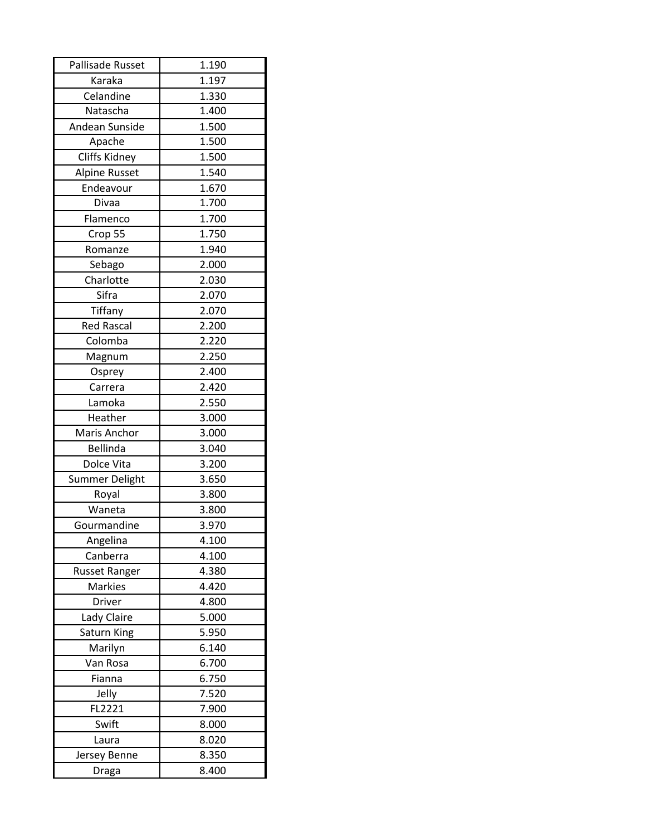| Pallisade Russet     | 1.190 |
|----------------------|-------|
| Karaka               | 1.197 |
| Celandine            | 1.330 |
| Natascha             | 1.400 |
| Andean Sunside       | 1.500 |
| Apache               | 1.500 |
| Cliffs Kidney        | 1.500 |
| Alpine Russet        | 1.540 |
| Endeavour            | 1.670 |
| Divaa                | 1.700 |
| Flamenco             | 1.700 |
| Crop 55              | 1.750 |
| Romanze              | 1.940 |
| Sebago               | 2.000 |
| Charlotte            | 2.030 |
| Sifra                | 2.070 |
| Tiffany              | 2.070 |
| <b>Red Rascal</b>    | 2.200 |
| Colomba              | 2.220 |
| Magnum               | 2.250 |
| Osprey               | 2.400 |
| Carrera              | 2.420 |
| Lamoka               | 2.550 |
| Heather              | 3.000 |
| Maris Anchor         | 3.000 |
| <b>Bellinda</b>      | 3.040 |
| Dolce Vita           | 3.200 |
| Summer Delight       | 3.650 |
| Royal                | 3.800 |
| Waneta               | 3.800 |
| Gourmandine          | 3.970 |
| Angelina             | 4.100 |
| Canberra             | 4.100 |
| <b>Russet Ranger</b> | 4.380 |
| <b>Markies</b>       | 4.420 |
| Driver               | 4.800 |
| Lady Claire          | 5.000 |
| Saturn King          | 5.950 |
| Marilyn              | 6.140 |
| Van Rosa             | 6.700 |
| Fianna               | 6.750 |
| Jelly                | 7.520 |
| FL2221               | 7.900 |
| Swift                | 8.000 |
| Laura                | 8.020 |
| Jersey Benne         | 8.350 |
| Draga                | 8.400 |